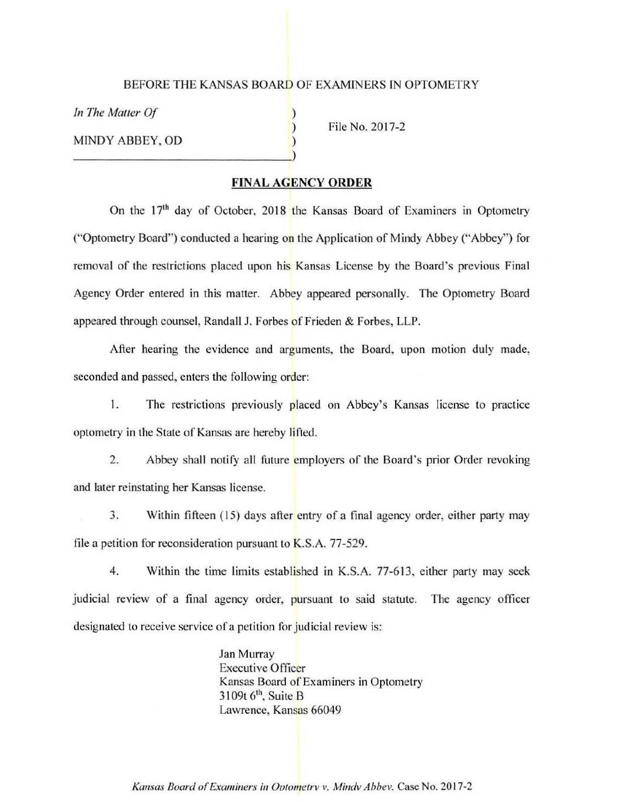## BEFORE THE KANSAS BOARD OF EXAMINERS IN OPTOMETRY

) ) )

*In The Matier Of* 

MINDY ABBEY, OD

File No. 2017-2

## **FINAL AGENCY ORDER**

On the  $17<sup>th</sup>$  day of October, 2018 the Kansas Board of Examiners in Optometry ("Optometry Board") conducted a hearing on the Application of Mindy Abbey ("Abbey") for removal of the restrictions placed upon his Kansas License by the Board's previous Final Agency Order entered in this matter. Abbey appeared personally. The Optometry Board appeared through counsel, Randall J. Forbes of Frieden & Forbes, LLP.

After hearing the evidence and arguments, the Board, upon motion duly made, seconded and passed, enters the following order:

I. The restrictions previously placed on Abbey's Kansas license to practice optometry in the State of Kansas are hereby lifted.

2. Abbey shall notify all future employers of the Board's prior Order revoking and later reinstating her Kansas license.

3. Within fifteen (15) days after entry of a final agency order, either party may file a petition for reconsideration pursuant to  $K.S.A.$  77-529.

4. Within the time limits established in K.S.A. 77-613, either party may seek judicial review of a final agency order, pursuant to said statute. The agency officer designated to receive service of a petition for judicial review is:

> Jan Murray Executive Officer Kansas Board of Examiners in Optometry  $3109t$  6<sup>th</sup>, Suite B Lawrence, Kansas 66049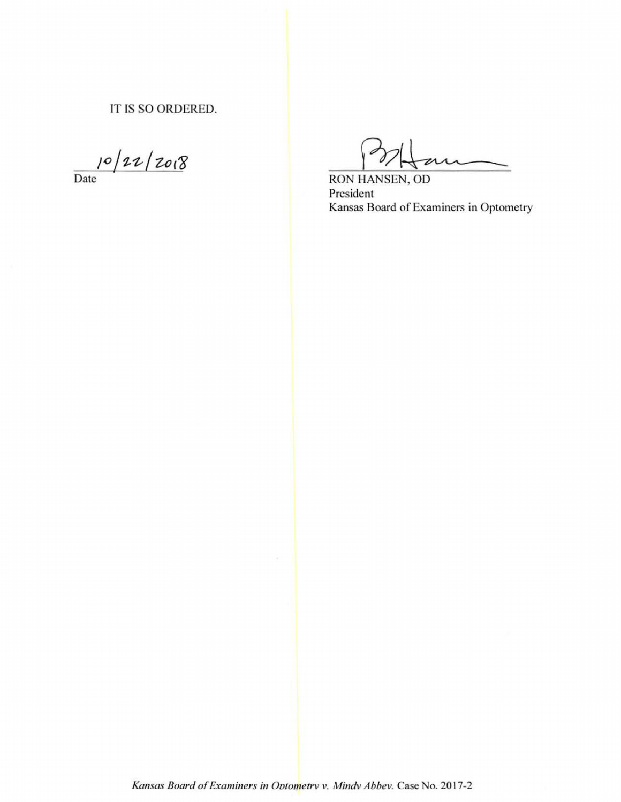IT IS SO ORDERED.

 $10/22/20.8$ 

RON HANSEN, OD President Kansas Board of Examiners in Optometry